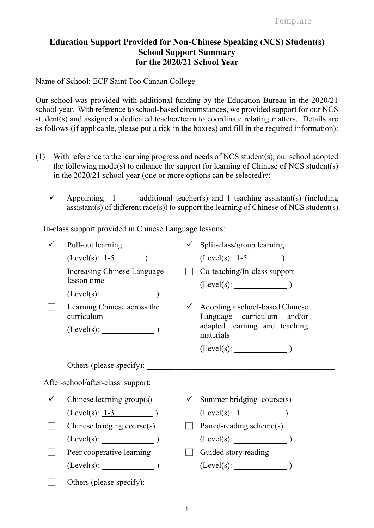## **Education Support Provided for Non-Chinese Speaking (NCS) Student(s) School Support Summary for the 2020/21 School Year**

Name of School: ECF Saint Too Canaan College

Our school was provided with additional funding by the Education Bureau in the 2020/21 school year. With reference to school-based circumstances, we provided support for our NCS student(s) and assigned a dedicated teacher/team to coordinate relating matters. Details are as follows (if applicable, please put a tick in the box(es) and fill in the required information):

- (1) With reference to the learning progress and needs of NCS student(s), our school adopted the following mode(s) to enhance the support for learning of Chinese of NCS student(s) in the 2020/21 school year (one or more options can be selected)#:
	- $\checkmark$  Appointing 1 additional teacher(s) and 1 teaching assistant(s) (including  $\overline{\text{as} }$  assistant(s) of different race(s)) to support the learning of Chinese of NCS student(s).

In-class support provided in Chinese Language lessons:

|                                   | Pull-out learning                          |  | $\checkmark$ Split-class/group learning                                                                     |
|-----------------------------------|--------------------------------------------|--|-------------------------------------------------------------------------------------------------------------|
|                                   | $(Level(s): 1-5)$                          |  | $(Level(s): 1-5)$                                                                                           |
|                                   | Increasing Chinese Language<br>lesson time |  | Co-teaching/In-class support                                                                                |
|                                   | $(Level(s):$ $)$                           |  |                                                                                                             |
|                                   | Learning Chinese across the<br>curriculum  |  | $\checkmark$ Adopting a school-based Chinese<br>Language curriculum and/or<br>adapted learning and teaching |
|                                   |                                            |  | materials                                                                                                   |
|                                   |                                            |  |                                                                                                             |
|                                   | Others (please specify):                   |  |                                                                                                             |
| After-school/after-class support: |                                            |  |                                                                                                             |
|                                   | Chinese learning group(s)                  |  | Summer bridging course(s)                                                                                   |
|                                   | $(Level(s): 1-3)$                          |  | $(Level(s): 1$ )                                                                                            |
|                                   | Chinese bridging course(s)                 |  | Paired-reading scheme(s)                                                                                    |
|                                   | (Level(s):                                 |  | $(Level(s):$ (Level(s):                                                                                     |
|                                   | Peer cooperative learning                  |  | Guided story reading                                                                                        |
|                                   | $(Level(s):$ (Level(s): (1)                |  | $(Level(s):$ (Level(s):                                                                                     |
|                                   | Others (please specify):                   |  |                                                                                                             |